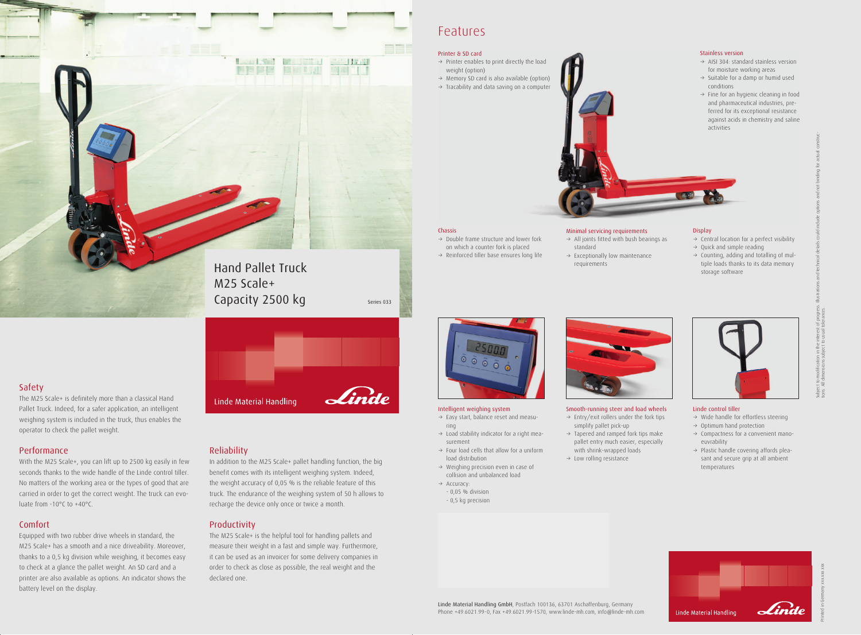Safety

The M25 Scale+ is definitely more than a classical Hand

Pallet Truck. Indeed, for a safer application, an intelligent weighing system is included in the truck, thus enables the operator to check the pallet weight.

# Performance

With the M25 Scale+, you can lift up to 2500 kg easily in few seconds thanks to the wide handle of the Linde control tiller. No matters of the working area or the types of good that are carried in order to get the correct weight. The truck can evoluate from -10°C to +40°C.

# Comfort

Equipped with two rubber drive wheels in standard, the M25 Scale+ has a smooth and a nice driveability. Moreover, thanks to a 0,5 kg division while weighing, it becomes easy to check at a glance the pallet weight. An SD card and a printer are also available as options. An indicator shows the battery level on the display.

## Reliability

- $\rightarrow$  Easy start, balance reset and measuring
- $\rightarrow$  Load stability indicator for a right measurement
- $\rightarrow$  Four load cells that allow for a uniform load distribution
- $\rightarrow$  Weighing precision even in case of collision and unbalanced load
- $\rightarrow$  Accuracy:
- 0,05 % division
- 0,5 kg precision



In addition to the M25 Scale+ pallet handling function, the big benefit comes with its intelligent weighing system. Indeed, the weight accuracy of 0,05 % is the reliable feature of this truck. The endurance of the weighing system of 50 h allows to recharge the device only once or twice a month.

# Productivity

- $\rightarrow$  Central location for a perfect visibility
- $\rightarrow$  Quick and simple reading
- $\rightarrow$  Counting, adding and totalling of multiple loads thanks to its data memory storage software



The M25 Scale+ is the helpful tool for handling pallets and measure their weight in a fast and simple way. Furthermore, it can be used as an invoicer for some delivery companies in order to check as close as possible, the real weight and the declared one.

- $\rightarrow$  Wide handle for effortless steering
- $\rightarrow$  Optimum hand protection
- $\rightarrow$  Compactness for a convenient manoeuvrability
- $\rightarrow$  Plastic handle covering affords pleasant and secure grip at all ambient temperatures

# Features



- $\rightarrow$  AISI 304: standard stainless version for moisture working areas
- $\rightarrow$  Suitable for a damp or humid used
- $\rightarrow$  Fine for an hygienic cleaning in food and pharmaceutical industries, preferred for its exceptional resistance against acids in chemistry and saline

#### Intelligent weighing system

- $\rightarrow$  All joints fitted with bush bearings as standard
- $\rightarrow$  Exceptionally low maintenance requirements



## Chassis

- $\rightarrow$  Double frame structure and lower fork on which a counter fork is placed
- $\rightarrow$  Reinforced tiller base ensures long life

#### Smooth-running steer and load wheels

- $\rightarrow$  Entry/exit rollers under the fork tips simplify pallet pick-up
- $\rightarrow$  Tapered and ramped fork tips make pallet entry much easier, especially with shrink-wrapped loads
- $\rightarrow$  Low rolling resistance

#### Display

### Linde control tiller

Printed in Germany xxx.xxx.xxx

Subject to modification in the interest of progress. Illustrations and technical details could include options and not binding for actual constructions. All dimensions subject to usual tolerances.

#### Stainless version



#### Minimal servicing requirements

#### Printer & SD card

- $\rightarrow$  Printer enables to print directly the load weight (option)
- $\rightarrow$  Memory SD card is also available (option)
- $\rightarrow$  Tracability and data saving on a computer



Hand Pallet Truck M25 Scale+

# Capacity  $2500 \text{ kg}$  Series 033

Linde Material Handling